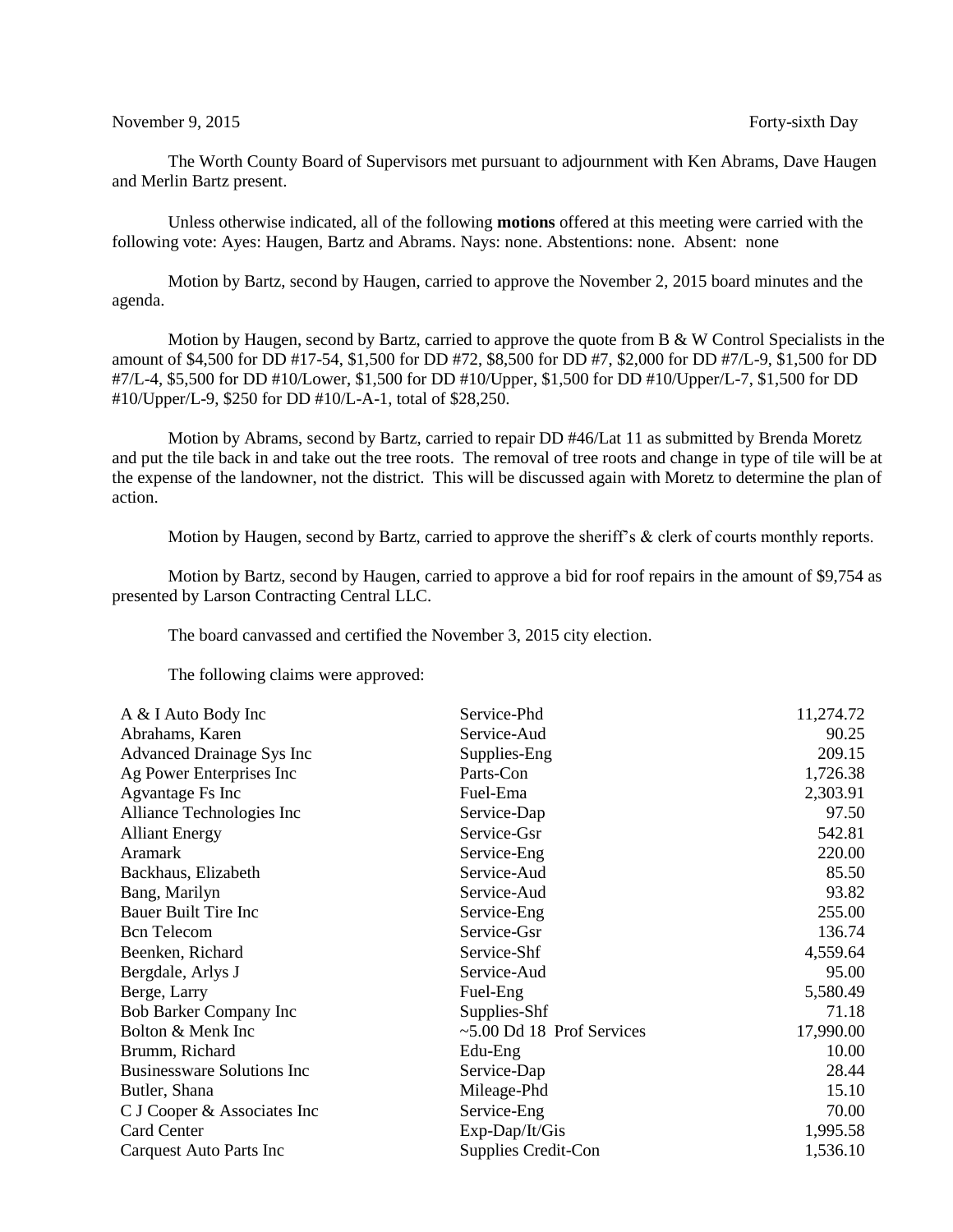## November 9, 2015 Forty-sixth Day

The Worth County Board of Supervisors met pursuant to adjournment with Ken Abrams, Dave Haugen and Merlin Bartz present.

Unless otherwise indicated, all of the following **motions** offered at this meeting were carried with the following vote: Ayes: Haugen, Bartz and Abrams. Nays: none. Abstentions: none. Absent: none

Motion by Bartz, second by Haugen, carried to approve the November 2, 2015 board minutes and the agenda.

Motion by Haugen, second by Bartz, carried to approve the quote from  $B \& W$  Control Specialists in the amount of \$4,500 for DD #17-54, \$1,500 for DD #72, \$8,500 for DD #7, \$2,000 for DD #7/L-9, \$1,500 for DD #7/L-4, \$5,500 for DD #10/Lower, \$1,500 for DD #10/Upper, \$1,500 for DD #10/Upper/L-7, \$1,500 for DD #10/Upper/L-9, \$250 for DD #10/L-A-1, total of \$28,250.

Motion by Abrams, second by Bartz, carried to repair DD #46/Lat 11 as submitted by Brenda Moretz and put the tile back in and take out the tree roots. The removal of tree roots and change in type of tile will be at the expense of the landowner, not the district. This will be discussed again with Moretz to determine the plan of action.

Motion by Haugen, second by Bartz, carried to approve the sheriff's & clerk of courts monthly reports.

Motion by Bartz, second by Haugen, carried to approve a bid for roof repairs in the amount of \$9,754 as presented by Larson Contracting Central LLC.

The board canvassed and certified the November 3, 2015 city election.

The following claims were approved:

| A & I Auto Body Inc               | Service-Phd                        | 11,274.72 |
|-----------------------------------|------------------------------------|-----------|
| Abrahams, Karen                   | Service-Aud                        | 90.25     |
| Advanced Drainage Sys Inc         | Supplies-Eng                       | 209.15    |
| Ag Power Enterprises Inc          | Parts-Con                          | 1,726.38  |
| Agvantage Fs Inc                  | Fuel-Ema                           | 2,303.91  |
| Alliance Technologies Inc         | Service-Dap                        | 97.50     |
| <b>Alliant Energy</b>             | Service-Gsr                        | 542.81    |
| <b>Aramark</b>                    | Service-Eng                        | 220.00    |
| Backhaus, Elizabeth               | Service-Aud                        | 85.50     |
| Bang, Marilyn                     | Service-Aud                        | 93.82     |
| Bauer Built Tire Inc              | Service-Eng                        | 255.00    |
| <b>Bcn</b> Telecom                | Service-Gsr                        | 136.74    |
| Beenken, Richard                  | Service-Shf                        | 4,559.64  |
| Bergdale, Arlys J                 | Service-Aud                        | 95.00     |
| Berge, Larry                      | Fuel-Eng                           | 5,580.49  |
| Bob Barker Company Inc            | Supplies-Shf                       | 71.18     |
| Bolton & Menk Inc                 | $\approx$ 5.00 Dd 18 Prof Services | 17,990.00 |
| Brumm, Richard                    | Edu-Eng                            | 10.00     |
| <b>Businessware Solutions Inc</b> | Service-Dap                        | 28.44     |
| Butler, Shana                     | Mileage-Phd                        | 15.10     |
| C J Cooper & Associates Inc       | Service-Eng                        | 70.00     |
| <b>Card Center</b>                | Exp-Dap/It/Gis                     | 1,995.58  |
| Carquest Auto Parts Inc           | Supplies Credit-Con                | 1,536.10  |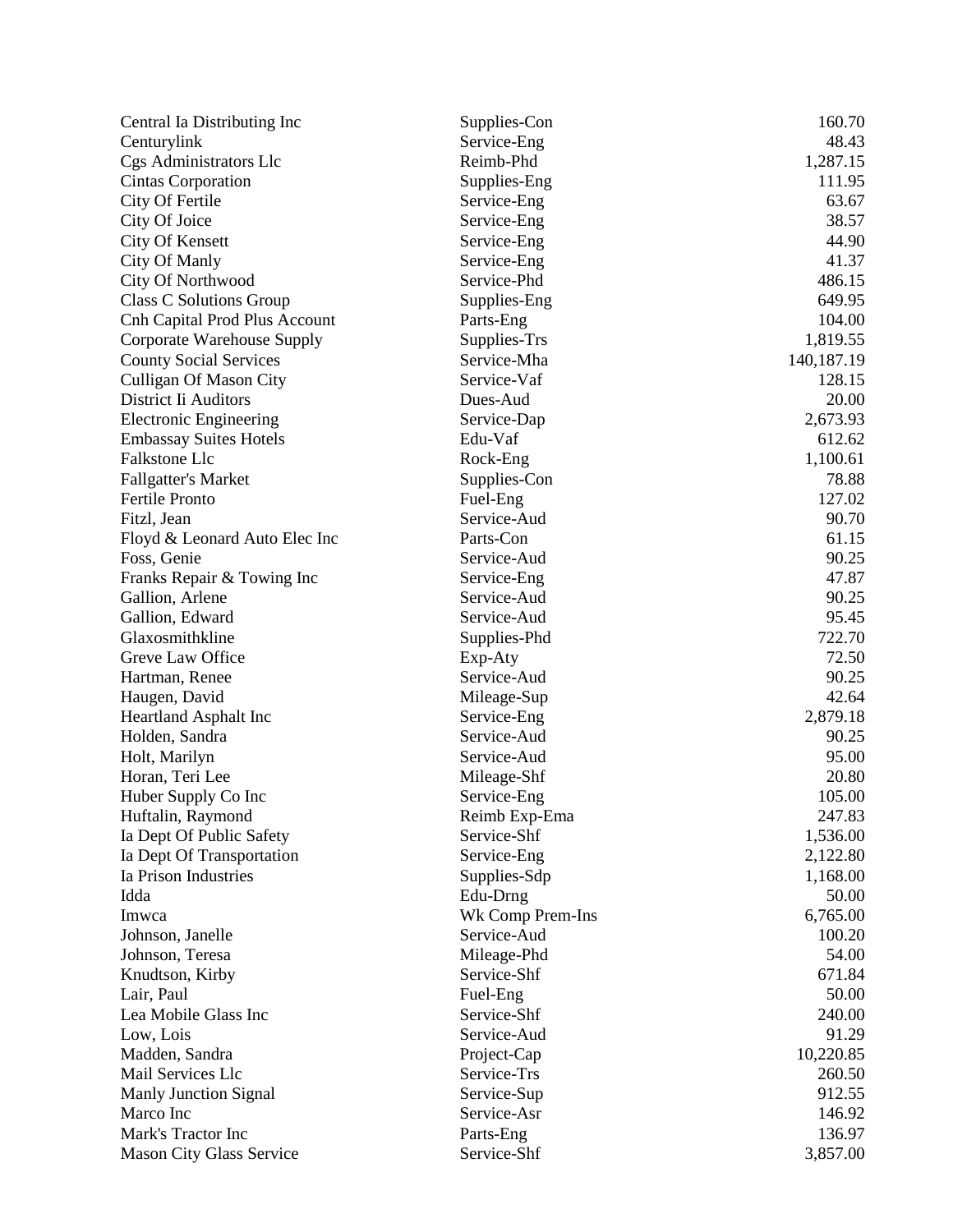| Central Ia Distributing Inc          | Supplies-Con     | 160.70       |
|--------------------------------------|------------------|--------------|
| Centurylink                          | Service-Eng      | 48.43        |
| Cgs Administrators Llc               | Reimb-Phd        | 1,287.15     |
| Cintas Corporation                   | Supplies-Eng     | 111.95       |
| City Of Fertile                      | Service-Eng      | 63.67        |
| City Of Joice                        | Service-Eng      | 38.57        |
| City Of Kensett                      | Service-Eng      | 44.90        |
| City Of Manly                        | Service-Eng      | 41.37        |
| City Of Northwood                    | Service-Phd      | 486.15       |
| <b>Class C Solutions Group</b>       | Supplies-Eng     | 649.95       |
| <b>Cnh Capital Prod Plus Account</b> | Parts-Eng        | 104.00       |
| Corporate Warehouse Supply           | Supplies-Trs     | 1,819.55     |
| <b>County Social Services</b>        | Service-Mha      | 140, 187. 19 |
| <b>Culligan Of Mason City</b>        | Service-Vaf      | 128.15       |
| District Ii Auditors                 | Dues-Aud         | 20.00        |
| <b>Electronic Engineering</b>        | Service-Dap      | 2,673.93     |
| <b>Embassay Suites Hotels</b>        | Edu-Vaf          | 612.62       |
| Falkstone Llc                        | Rock-Eng         | 1,100.61     |
| <b>Fallgatter's Market</b>           | Supplies-Con     | 78.88        |
| <b>Fertile Pronto</b>                | Fuel-Eng         | 127.02       |
| Fitzl, Jean                          | Service-Aud      | 90.70        |
| Floyd & Leonard Auto Elec Inc        | Parts-Con        | 61.15        |
| Foss, Genie                          | Service-Aud      | 90.25        |
| Franks Repair & Towing Inc           | Service-Eng      | 47.87        |
| Gallion, Arlene                      | Service-Aud      | 90.25        |
| Gallion, Edward                      | Service-Aud      | 95.45        |
| Glaxosmithkline                      | Supplies-Phd     | 722.70       |
| Greve Law Office                     | Exp-Aty          | 72.50        |
| Hartman, Renee                       | Service-Aud      | 90.25        |
| Haugen, David                        | Mileage-Sup      | 42.64        |
| <b>Heartland Asphalt Inc</b>         | Service-Eng      | 2,879.18     |
| Holden, Sandra                       | Service-Aud      | 90.25        |
| Holt, Marilyn                        | Service-Aud      | 95.00        |
| Horan, Teri Lee                      | Mileage-Shf      | 20.80        |
| Huber Supply Co Inc                  | Service-Eng      | 105.00       |
| Huftalin, Raymond                    | Reimb Exp-Ema    | 247.83       |
| Ia Dept Of Public Safety             | Service-Shf      | 1,536.00     |
| Ia Dept Of Transportation            | Service-Eng      | 2,122.80     |
| Ia Prison Industries                 | Supplies-Sdp     | 1,168.00     |
| Idda                                 | Edu-Drng         | 50.00        |
| Imwca                                | Wk Comp Prem-Ins | 6,765.00     |
| Johnson, Janelle                     | Service-Aud      | 100.20       |
| Johnson, Teresa                      | Mileage-Phd      | 54.00        |
| Knudtson, Kirby                      | Service-Shf      | 671.84       |
| Lair, Paul                           | Fuel-Eng         | 50.00        |
| Lea Mobile Glass Inc                 | Service-Shf      | 240.00       |
| Low, Lois                            | Service-Aud      | 91.29        |
| Madden, Sandra                       | Project-Cap      | 10,220.85    |
| Mail Services Llc                    | Service-Trs      | 260.50       |
| Manly Junction Signal                | Service-Sup      | 912.55       |
| Marco Inc                            | Service-Asr      | 146.92       |
| Mark's Tractor Inc                   | Parts-Eng        | 136.97       |
| Mason City Glass Service             | Service-Shf      | 3,857.00     |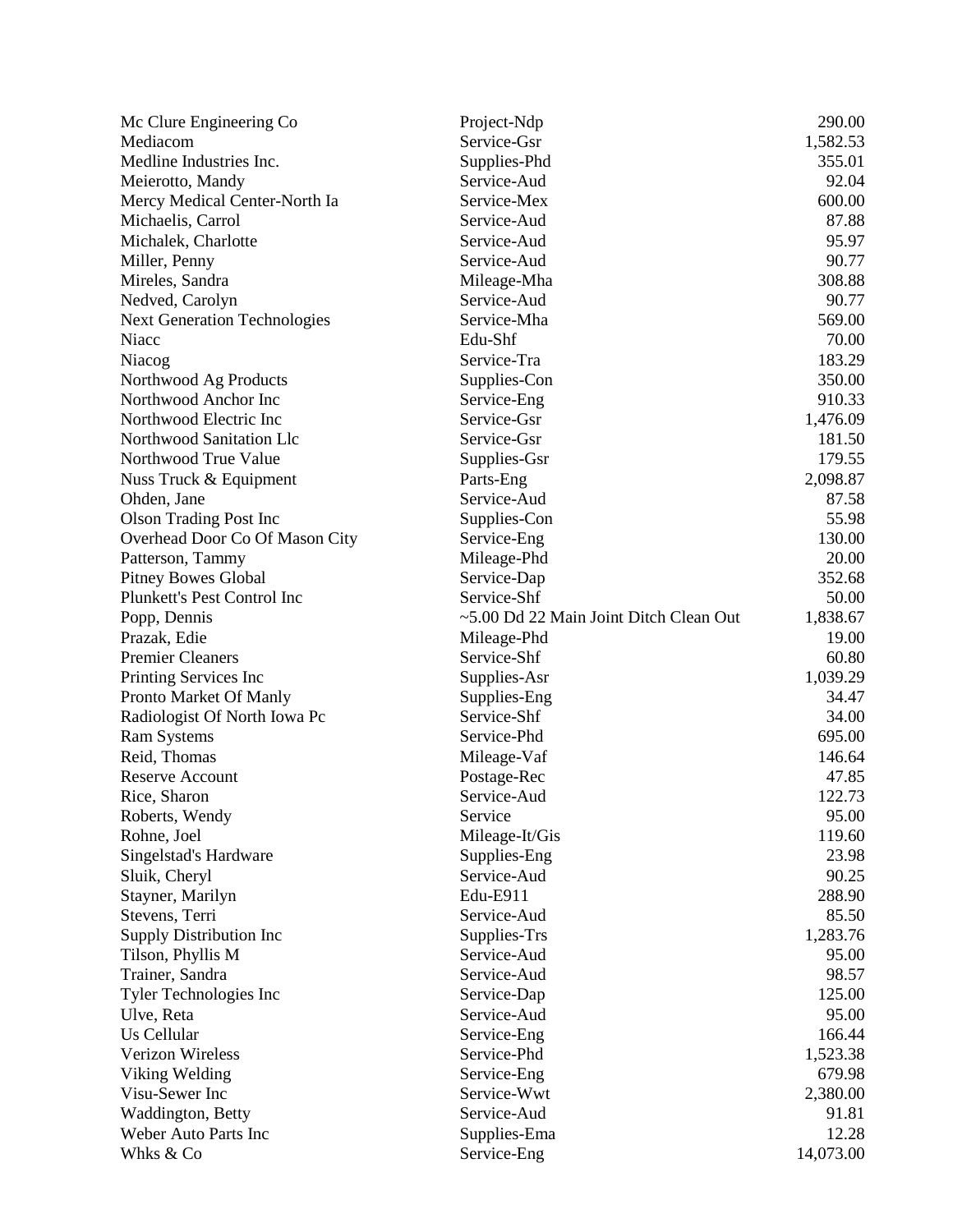| Mc Clure Engineering Co             | Project-Ndp                            | 290.00    |
|-------------------------------------|----------------------------------------|-----------|
| Mediacom                            | Service-Gsr                            | 1,582.53  |
| Medline Industries Inc.             | Supplies-Phd                           | 355.01    |
| Meierotto, Mandy                    | Service-Aud                            | 92.04     |
| Mercy Medical Center-North Ia       | Service-Mex                            | 600.00    |
| Michaelis, Carrol                   | Service-Aud                            | 87.88     |
| Michalek, Charlotte                 | Service-Aud                            | 95.97     |
| Miller, Penny                       | Service-Aud                            | 90.77     |
| Mireles, Sandra                     | Mileage-Mha                            | 308.88    |
| Nedved, Carolyn                     | Service-Aud                            | 90.77     |
| <b>Next Generation Technologies</b> | Service-Mha                            | 569.00    |
| Niacc                               | Edu-Shf                                | 70.00     |
| Niacog                              | Service-Tra                            | 183.29    |
| Northwood Ag Products               | Supplies-Con                           | 350.00    |
| Northwood Anchor Inc                | Service-Eng                            | 910.33    |
| Northwood Electric Inc              | Service-Gsr                            | 1,476.09  |
| Northwood Sanitation Llc            | Service-Gsr                            | 181.50    |
| Northwood True Value                | Supplies-Gsr                           | 179.55    |
| Nuss Truck & Equipment              | Parts-Eng                              | 2,098.87  |
| Ohden, Jane                         | Service-Aud                            | 87.58     |
| <b>Olson Trading Post Inc</b>       | Supplies-Con                           | 55.98     |
| Overhead Door Co Of Mason City      | Service-Eng                            | 130.00    |
| Patterson, Tammy                    | Mileage-Phd                            | 20.00     |
| <b>Pitney Bowes Global</b>          | Service-Dap                            | 352.68    |
| Plunkett's Pest Control Inc         | Service-Shf                            | 50.00     |
| Popp, Dennis                        | ~5.00 Dd 22 Main Joint Ditch Clean Out | 1,838.67  |
| Prazak, Edie                        | Mileage-Phd                            | 19.00     |
| <b>Premier Cleaners</b>             | Service-Shf                            | 60.80     |
| Printing Services Inc               | Supplies-Asr                           | 1,039.29  |
| Pronto Market Of Manly              | Supplies-Eng                           | 34.47     |
| Radiologist Of North Iowa Pc        | Service-Shf                            | 34.00     |
| <b>Ram Systems</b>                  | Service-Phd                            | 695.00    |
| Reid, Thomas                        | Mileage-Vaf                            | 146.64    |
| <b>Reserve Account</b>              | Postage-Rec                            | 47.85     |
| Rice, Sharon                        | Service-Aud                            | 122.73    |
| Roberts, Wendy                      | Service                                | 95.00     |
| Rohne, Joel                         | Mileage-It/Gis                         | 119.60    |
| Singelstad's Hardware               | Supplies-Eng                           | 23.98     |
| Sluik, Cheryl                       | Service-Aud                            | 90.25     |
| Stayner, Marilyn                    | Edu-E911                               | 288.90    |
| Stevens, Terri                      | Service-Aud                            | 85.50     |
| Supply Distribution Inc             | Supplies-Trs                           | 1,283.76  |
| Tilson, Phyllis M                   | Service-Aud                            | 95.00     |
| Trainer, Sandra                     | Service-Aud                            | 98.57     |
| <b>Tyler Technologies Inc</b>       | Service-Dap                            | 125.00    |
| Ulve, Reta                          | Service-Aud                            | 95.00     |
| Us Cellular                         | Service-Eng                            | 166.44    |
| <b>Verizon Wireless</b>             | Service-Phd                            | 1,523.38  |
| Viking Welding                      | Service-Eng                            | 679.98    |
| Visu-Sewer Inc                      | Service-Wwt                            | 2,380.00  |
| Waddington, Betty                   | Service-Aud                            | 91.81     |
| Weber Auto Parts Inc                |                                        | 12.28     |
|                                     | Supplies-Ema                           |           |
| Whks & Co                           | Service-Eng                            | 14,073.00 |